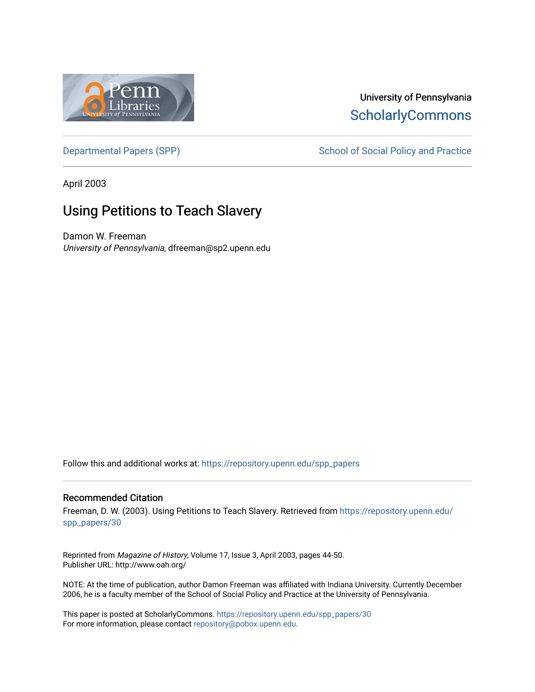

# University of Pennsylvania **ScholarlyCommons**

[Departmental Papers \(SPP\)](https://repository.upenn.edu/spp_papers) School of Social Policy and Practice

April 2003

# Using Petitions to Teach Slavery

Damon W. Freeman University of Pennsylvania, dfreeman@sp2.upenn.edu

Follow this and additional works at: [https://repository.upenn.edu/spp\\_papers](https://repository.upenn.edu/spp_papers?utm_source=repository.upenn.edu%2Fspp_papers%2F30&utm_medium=PDF&utm_campaign=PDFCoverPages) 

## Recommended Citation

Freeman, D. W. (2003). Using Petitions to Teach Slavery. Retrieved from [https://repository.upenn.edu/](https://repository.upenn.edu/spp_papers/30?utm_source=repository.upenn.edu%2Fspp_papers%2F30&utm_medium=PDF&utm_campaign=PDFCoverPages) [spp\\_papers/30](https://repository.upenn.edu/spp_papers/30?utm_source=repository.upenn.edu%2Fspp_papers%2F30&utm_medium=PDF&utm_campaign=PDFCoverPages) 

Reprinted from Magazine of History, Volume 17, Issue 3, April 2003, pages 44-50. Publisher URL: http://www.oah.org/

NOTE: At the time of publication, author Damon Freeman was affiliated with Indiana University. Currently December 2006, he is a faculty member of the School of Social Policy and Practice at the University of Pennsylvania.

This paper is posted at ScholarlyCommons. [https://repository.upenn.edu/spp\\_papers/30](https://repository.upenn.edu/spp_papers/30)  For more information, please contact [repository@pobox.upenn.edu.](mailto:repository@pobox.upenn.edu)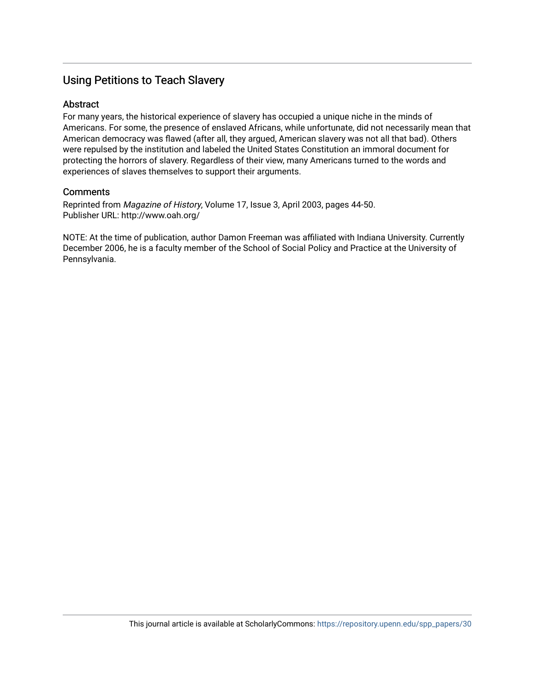# Using Petitions to Teach Slavery

## **Abstract**

For many years, the historical experience of slavery has occupied a unique niche in the minds of Americans. For some, the presence of enslaved Africans, while unfortunate, did not necessarily mean that American democracy was flawed (after all, they argued, American slavery was not all that bad). Others were repulsed by the institution and labeled the United States Constitution an immoral document for protecting the horrors of slavery. Regardless of their view, many Americans turned to the words and experiences of slaves themselves to support their arguments.

## **Comments**

Reprinted from Magazine of History, Volume 17, Issue 3, April 2003, pages 44-50. Publisher URL: http://www.oah.org/

NOTE: At the time of publication, author Damon Freeman was affiliated with Indiana University. Currently December 2006, he is a faculty member of the School of Social Policy and Practice at the University of Pennsylvania.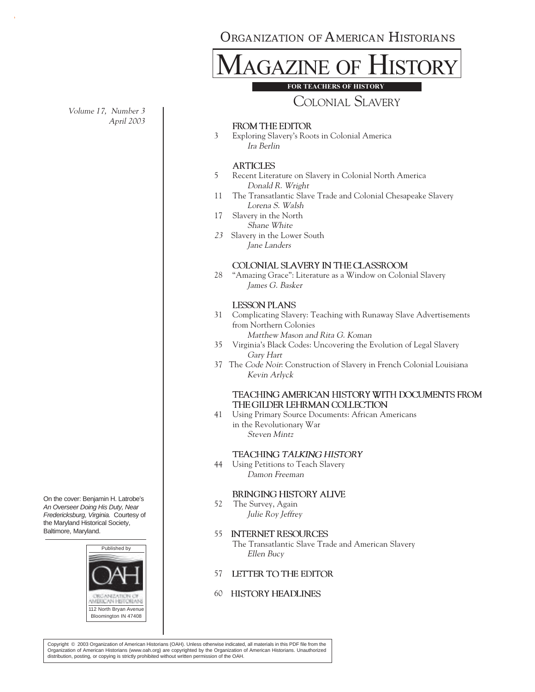ORGANIZATION OF AMERICAN HISTORIANS

# $\overline{\overline{\mathrm{M}}}$ **AGAZINE OF F HISTORY**

**FOR TEACHERS OF HISTORY** 

# COLONIAL SLAVERY

Volume 17, Number 3 April 2003

#### FROM THE EDITOR

3 Exploring Slavery's Roots in Colonial America Ira Berlin

## **ARTICLES**

- 5 Recent Literature on Slavery in Colonial North America Donald R. Wright
- 11 The Transatlantic Slave Trade and Colonial Chesapeake Slavery Lorena S. Walsh
- 17 Slavery in the North Shane White
- 23 Slavery in the Lower South Jane Landers

#### COLONIAL SLAVERY IN THE CLASSROOM

28 "Amazing Grace": Literature as a Window on Colonial Slavery James G. Basker

#### **LESSON PLANS**

- 31 Complicating Slavery: Teaching with Runaway Slave Advertisements from Northern Colonies Matthew Mason and Rita G. Koman
- 35 Virginia's Black Codes: Uncovering the Evolution of Legal Slavery Gary Hart
- 37 The Code Noir: Construction of Slavery in French Colonial Louisiana Kevin Arlyck

#### TEACHING AMERICAN HISTORY WITH DOCUMENTS FROM THE GILDER LEHRMAN COLLECTION

41 Using Primary Source Documents: African Americans in the Revolutionary War Steven Mintz

## **TEACHING TALKING HISTORY**

44 Using Petitions to Teach Slavery Damon Freeman

## **BRINGING HISTORY ALIVE**

- 52 The Survey, Again Julie Roy Jeffrey
- 55 INTERNET RESOURCES

The Transatlantic Slave Trade and American Slavery Ellen Bucy

LETTER TO THE EDITOR 57

## 60 HISTORY HEADLINES

Copyright © 2003 Organization of American Historians (OAH). Unless otherwise indicated, all materials in this PDF file from the Organization of American Historians (www.oah.org) are copyrighted by the Organization of American Historians. Unauthorized distribution, posting, or copying is strictly prohibited without written permission of the OAH.

On the cover: Benjamin H. Latrobe's *An Overseer Doing His Duty, Near Fredericksburg, Virginia.* Courtesy of the Maryland Historical Society, Baltimore, Maryland.

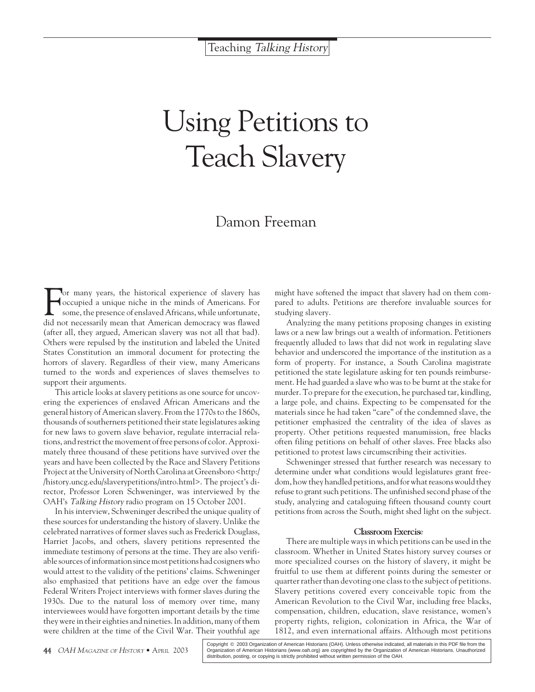# Using Petitions to Teach Slavery

# Damon Freeman

For many years, the historical experience of slavery has<br>cocupied a unique niche in the minds of Americans. For<br>some, the presence of enslaved Africans, while unfortunate,<br>did not necessarily mean that American democracy w or many years, the historical experience of slavery has occupied a unique niche in the minds of Americans. For some, the presence of enslaved Africans, while unfortunate, (after all, they argued, American slavery was not all that bad). Others were repulsed by the institution and labeled the United States Constitution an immoral document for protecting the horrors of slavery. Regardless of their view, many Americans turned to the words and experiences of slaves themselves to support their arguments.

This article looks at slavery petitions as one source for uncovering the experiences of enslaved African Americans and the general history of American slavery. From the 1770s to the 1860s, thousands of southerners petitioned their state legislatures asking for new laws to govern slave behavior, regulate interracial relations, and restrict the movement of free persons of color. Approximately three thousand of these petitions have survived over the years and have been collected by the Race and Slavery Petitions Project at the University of North Carolina at Greensboro <http:/ /history.uncg.edu/slaverypetitions/intro.html>. The project's director, Professor Loren Schweninger, was interviewed by the OAH's Talking History radio program on 15 October 2001.

In his interview, Schweninger described the unique quality of these sources for understanding the history of slavery. Unlike the celebrated narratives of former slaves such as Frederick Douglass, Harriet Jacobs, and others, slavery petitions represented the immediate testimony of persons at the time. They are also verifiable sources of information since most petitions had cosigners who would attest to the validity of the petitions' claims. Schweninger also emphasized that petitions have an edge over the famous Federal Writers Project interviews with former slaves during the 1930s. Due to the natural loss of memory over time, many interviewees would have forgotten important details by the time they were in their eighties and nineties. In addition, many of them were children at the time of the Civil War. Their youthful age might have softened the impact that slavery had on them compared to adults. Petitions are therefore invaluable sources for studying slavery.

Analyzing the many petitions proposing changes in existing laws or a new law brings out a wealth of information. Petitioners frequently alluded to laws that did not work in regulating slave behavior and underscored the importance of the institution as a form of property. For instance, a South Carolina magistrate petitioned the state legislature asking for ten pounds reimbursement. He had guarded a slave who was to be burnt at the stake for murder. To prepare for the execution, he purchased tar, kindling, a large pole, and chains. Expecting to be compensated for the materials since he had taken "care" of the condemned slave, the petitioner emphasized the centrality of the idea of slaves as property. Other petitions requested manumission, free blacks often filing petitions on behalf of other slaves. Free blacks also petitioned to protest laws circumscribing their activities.

Schweninger stressed that further research was necessary to determine under what conditions would legislatures grant freedom, how they handled petitions, and for what reasons would they refuse to grant such petitions. The unfinished second phase of the study, analyzing and cataloguing fifteen thousand county court petitions from across the South, might shed light on the subject.

#### **Classroom Exercise**

There are multiple ways in which petitions can be used in the classroom. Whether in United States history survey courses or more specialized courses on the history of slavery, it might be fruitful to use them at different points during the semester or quarter rather than devoting one class to the subject of petitions. Slavery petitions covered every conceivable topic from the American Revolution to the Civil War, including free blacks, compensation, children, education, slave resistance, women's property rights, religion, colonization in Africa, the War of 1812, and even international affairs. Although most petitions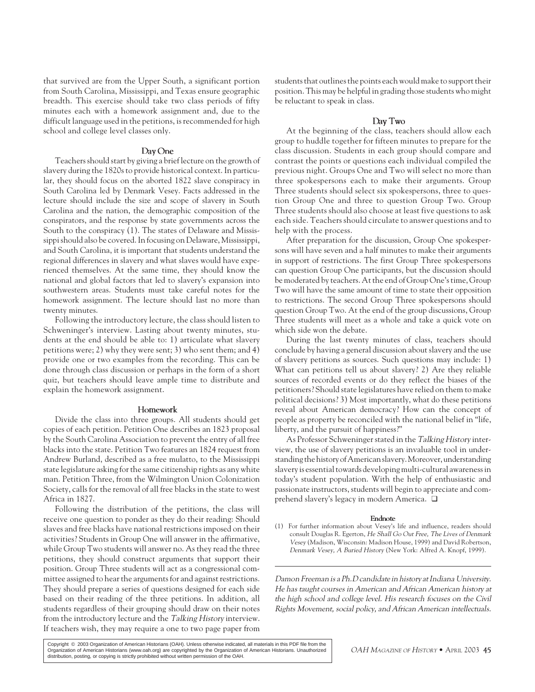that survived are from the Upper South, a significant portion from South Carolina, Mississippi, and Texas ensure geographic breadth. This exercise should take two class periods of fifty minutes each with a homework assignment and, due to the difficult language used in the petitions, is recommended for high school and college level classes only.

#### Day One

Teachers should start by giving a brief lecture on the growth of slavery during the 1820s to provide historical context. In particular, they should focus on the aborted 1822 slave conspiracy in South Carolina led by Denmark Vesey. Facts addressed in the lecture should include the size and scope of slavery in South Carolina and the nation, the demographic composition of the conspirators, and the response by state governments across the South to the conspiracy (1). The states of Delaware and Mississippi should also be covered. In focusing on Delaware, Mississippi, and South Carolina, it is important that students understand the regional differences in slavery and what slaves would have experienced themselves. At the same time, they should know the national and global factors that led to slavery's expansion into southwestern areas. Students must take careful notes for the homework assignment. The lecture should last no more than twenty minutes.

Following the introductory lecture, the class should listen to Schweninger's interview. Lasting about twenty minutes, students at the end should be able to: 1) articulate what slavery petitions were; 2) why they were sent; 3) who sent them; and 4) provide one or two examples from the recording. This can be done through class discussion or perhaps in the form of a short quiz, but teachers should leave ample time to distribute and explain the homework assignment.

#### Homework

Divide the class into three groups. All students should get copies of each petition. Petition One describes an 1823 proposal by the South Carolina Association to prevent the entry of all free blacks into the state. Petition Two features an 1824 request from Andrew Burland, described as a free mulatto, to the Mississippi state legislature asking for the same citizenship rights as any white man. Petition Three, from the Wilmington Union Colonization Society, calls for the removal of all free blacks in the state to west Africa in 1827.

Following the distribution of the petitions, the class will receive one question to ponder as they do their reading: Should slaves and free blacks have national restrictions imposed on their activities? Students in Group One will answer in the affirmative, while Group Two students will answer no. As they read the three petitions, they should construct arguments that support their position. Group Three students will act as a congressional committee assigned to hear the arguments for and against restrictions. They should prepare a series of questions designed for each side based on their reading of the three petitions. In addition, all students regardless of their grouping should draw on their notes from the introductory lecture and the Talking History interview. If teachers wish, they may require a one to two page paper from students that outlines the points each would make to support their position. This may be helpful in grading those students who might be reluctant to speak in class.

#### Day Two

At the beginning of the class, teachers should allow each group to huddle together for fifteen minutes to prepare for the class discussion. Students in each group should compare and contrast the points or questions each individual compiled the previous night. Groups One and Two will select no more than three spokespersons each to make their arguments. Group Three students should select six spokespersons, three to question Group One and three to question Group Two. Group Three students should also choose at least five questions to ask each side. Teachers should circulate to answer questions and to help with the process.

After preparation for the discussion, Group One spokespersons will have seven and a half minutes to make their arguments in support of restrictions. The first Group Three spokespersons can question Group One participants, but the discussion should be moderated by teachers. At the end of Group One's time, Group Two will have the same amount of time to state their opposition to restrictions. The second Group Three spokespersons should question Group Two. At the end of the group discussions, Group Three students will meet as a whole and take a quick vote on which side won the debate.

During the last twenty minutes of class, teachers should conclude by having a general discussion about slavery and the use of slavery petitions as sources. Such questions may include: 1) What can petitions tell us about slavery? 2) Are they reliable sources of recorded events or do they reflect the biases of the petitioners? Should state legislatures have relied on them to make political decisions? 3) Most importantly, what do these petitions reveal about American democracy? How can the concept of people as property be reconciled with the national belief in "life, liberty, and the pursuit of happiness?"

As Professor Schweninger stated in the Talking History interview, the use of slavery petitions is an invaluable tool in understanding the history of American slavery. Moreover, understanding slavery is essential towards developing multi-cultural awareness in today's student population. With the help of enthusiastic and passionate instructors, students will begin to appreciate and comprehend slavery's legacy in modern America. ❑

#### Endnote

(1) For further information about Vesey's life and influence, readers should consult Douglas R. Egerton, He Shall Go Out Free, The Lives of Denmark Vesey (Madison, Wisconsin: Madison House, 1999) and David Robertson, Denmark Vesey, A Buried History (New York: Alfred A. Knopf, 1999).

Damon Freeman is a Ph.D candidate in history at Indiana University. He has taught courses in American and African American history at the high school and college level. His research focuses on the Civil Rights Movement, social policy, and African American intellectuals.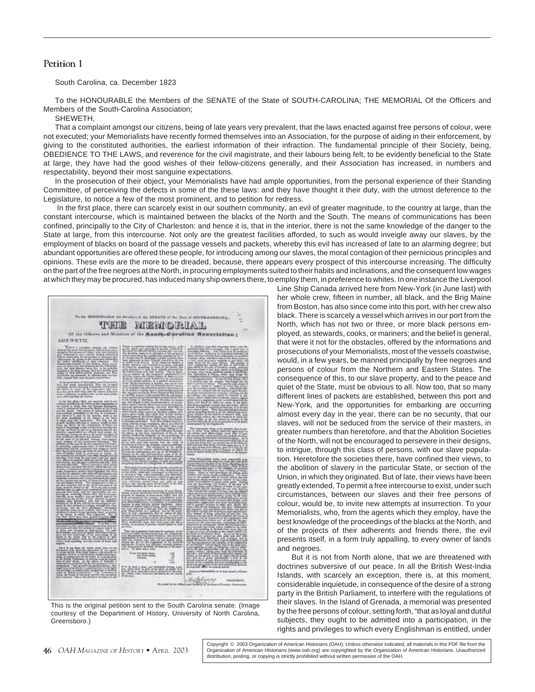#### Petition 1

South Carolina, ca. December 1823

To the HONOURABLE the Members of the SENATE of the State of SOUTH-CAROLINA; THE MEMORIAL Of the Officers and Members of the South-Carolina Association;

**SHEWETH** 

That a complaint amongst our citizens, being of late years very prevalent, that the laws enacted against free persons of colour, were not executed; your Memorialists have recently formed themselves into an Association, for the purpose of aiding in their enforcement, by giving to the constituted authorities, the earliest information of their infraction. The fundamental principle of their Society, being, OBEDIENCE TO THE LAWS, and reverence for the civil magistrate, and their labours being felt, to be evidently beneficial to the State at large, they have had the good wishes of their fellow-citizens generally, and their Association has increased, in numbers and respectability, beyond their most sanguine expectations.

In the prosecution of their object, your Memorialists have had ample opportunities, from the personal experience of their Standing Committee, of perceiving the defects in some of the these laws: and they have thought it their duty, with the utmost deference to the Legislature, to notice a few of the most prominent, and to petition for redress.

 In the first place, there can scarcely exist in our southern community, an evil of greater magnitude, to the country at large, than the constant intercourse, which is maintained between the blacks of the North and the South. The means of communications has been confined, principally to the City of Charleston: and hence it is, that in the interior, there is not the same knowledge of the danger to the State at large, from this intercourse. Not only are the greatest facilities afforded, to such as would inveigle away our slaves, by the employment of blacks on board of the passage vessels and packets, whereby this evil has increased of late to an alarming degree; but abundant opportunities are offered these people, for introducing among our slaves, the moral contagion of their pernicious principles and opinions. These evils are the more to be dreaded, because, there appears every prospect of this intercourse increasing. The difficulty on the part of the free negroes at the North, in procuring employments suited to their habits and inclinations, and the consequent low wages at which they may be procured, has induced many ship owners there, to employ them, in preference to whites. In one instance the Liverpool

| To the BERDEDAMA the Student of the BENATE of the Birn of SOUTH CARDENAL<br>MEMORIAL<br>Of the Oksen and Mondern of the Month-Carolina Manorietium;<br><b>SHEWEYE</b><br>West And<br>due old is pointed by retired.<br>Antick,<br>$\blacksquare$<br><b>Second Ave</b><br>istania<br>Istoria<br>$\mathcal{W}(\mathbb{R}^n)$<br>Norsk N<br>肟<br>ay ya san<br>Manazarta<br>in ggate<br>Ħ<br>m<br><u>Ran nggora</u> ng<br>induce Monotella, at is don local, will see<br>¥6<br>anno a thatplace of mining. |  |  |
|--------------------------------------------------------------------------------------------------------------------------------------------------------------------------------------------------------------------------------------------------------------------------------------------------------------------------------------------------------------------------------------------------------------------------------------------------------------------------------------------------------|--|--|
|                                                                                                                                                                                                                                                                                                                                                                                                                                                                                                        |  |  |
|                                                                                                                                                                                                                                                                                                                                                                                                                                                                                                        |  |  |
|                                                                                                                                                                                                                                                                                                                                                                                                                                                                                                        |  |  |
|                                                                                                                                                                                                                                                                                                                                                                                                                                                                                                        |  |  |

This is the original petition sent to the South Carolina senate. (Image courtesy of the Department of History, University of North Carolina, Greensboro.)

Line Ship Canada arrived here from New-York (in June last) with her whole crew, fifteen in number, all black, and the Brig Maine from Boston, has also since come into this port, with her crew also black. There is scarcely a vessel which arrives in our port from the North, which has not two or three, or more black persons employed, as stewards, cooks, or mariners; and the belief is general, that were it not for the obstacles, offered by the informations and prosecutions of your Memorialists, most of the vessels coastwise, would, in a few years, be manned principally by free negroes and persons of colour from the Northern and Eastern States. The consequence of this, to our slave property, and to the peace and quiet of the State, must be obvious to all. Now too, that so many different lines of packets are established, between this port and New-York, and the opportunities for embarking are occurring almost every day in the year, there can be no security, that our slaves, will not be seduced from the service of their masters, in greater numbers than heretofore, and that the Abolition Societies of the North, will not be encouraged to persevere in their designs, to intrigue, through this class of persons, with our slave population. Heretofore the societies there, have confined their views, to the abolition of slavery in the particular State, or section of the Union, in which they originated. But of late, their views have been greatly extended, To permit a free intercourse to exist, under such circumstances, between our slaves and their free persons of colour, would be, to invite new attempts at insurrection. To your Memorialists, who, from the agents which they employ, have the best knowledge of the proceedings of the blacks at the North, and of the projects of their adherents and friends there, the evil presents itself, in a form truly appalling, to every owner of lands and negroes.

 But it is not from North alone, that we are threatened with doctrines subversive of our peace. In all the British West-India Islands, with scarcely an exception, there is, at this moment, considerable inquietude, in consequence of the desire of a strong party in the British Parliament, to interfere with the regulations of their slaves. In the Island of Grenada, a memorial was presented by the free persons of colour, setting forth, "that as loyal and dutiful subjects, they ought to be admitted into a participation, in the rights and privileges to which every Englishman is entitled, under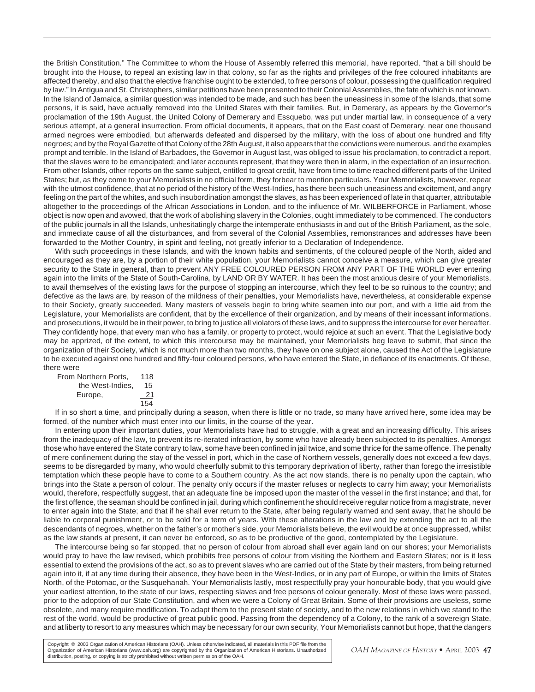the British Constitution." The Committee to whom the House of Assembly referred this memorial, have reported, "that a bill should be brought into the House, to repeal an existing law in that colony, so far as the rights and privileges of the free coloured inhabitants are affected thereby, and also that the elective franchise ought to be extended, to free persons of colour, possessing the qualification required by law." In Antigua and St. Christophers, similar petitions have been presented to their Colonial Assemblies, the fate of which is not known. In the Island of Jamaica, a similar question was intended to be made, and such has been the uneasiness in some of the Islands, that some persons, it is said, have actually removed into the United States with their families. But, in Demerary, as appears by the Governor's proclamation of the 19th August, the United Colony of Demerary and Essquebo, was put under martial law, in consequence of a very serious attempt, at a general insurrection. From official documents, it appears, that on the East coast of Demerary, near one thousand armed negroes were embodied, but afterwards defeated and dispersed by the military, with the loss of about one hundred and fifty negroes; and by the Royal Gazette of that Colony of the 28th August, it also appears that the convictions were numerous, and the examples prompt and terrible. In the Island of Barbadoes, the Governor in August last, was obliged to issue his proclamation, to contradict a report, that the slaves were to be emancipated; and later accounts represent, that they were then in alarm, in the expectation of an insurrection. From other Islands, other reports on the same subject, entitled to great credit, have from time to time reached different parts of the United States; but, as they come to your Memorialists in no official form, they forbear to mention particulars. Your Memorialists, however, repeat with the utmost confidence, that at no period of the history of the West-Indies, has there been such uneasiness and excitement, and angry feeling on the part of the whites, and such insubordination amongst the slaves, as has been experienced of late in that quarter, attributable altogether to the proceedings of the African Associations in London, and to the influence of Mr. WILBERFORCE in Parliament, whose object is now open and avowed, that the work of abolishing slavery in the Colonies, ought immediately to be commenced. The conductors of the public journals in all the Islands, unhesitatingly charge the intemperate enthusiasts in and out of the British Parliament, as the sole, and immediate cause of all the disturbances, and from several of the Colonial Assemblies, remonstrances and addresses have been forwarded to the Mother Country, in spirit and feeling, not greatly inferior to a Declaration of Independence.

With such proceedings in these Islands, and with the known habits and sentiments, of the coloured people of the North, aided and encouraged as they are, by a portion of their white population, your Memorialists cannot conceive a measure, which can give greater security to the State in general, than to prevent ANY FREE COLOURED PERSON FROM ANY PART OF THE WORLD ever entering again into the limits of the State of South-Carolina, by LAND OR BY WATER. It has been the most anxious desire of your Memorialists, to avail themselves of the existing laws for the purpose of stopping an intercourse, which they feel to be so ruinous to the country; and defective as the laws are, by reason of the mildness of their penalties, your Memorialists have, nevertheless, at considerable expense to their Society, greatly succeeded. Many masters of vessels begin to bring white seamen into our port, and with a little aid from the Legislature, your Memorialists are confident, that by the excellence of their organization, and by means of their incessant informations, and prosecutions, it would be in their power, to bring to justice all violators of these laws, and to suppress the intercourse for ever hereafter. They confidently hope, that every man who has a family, or property to protect, would rejoice at such an event. That the Legislative body may be apprized, of the extent, to which this intercourse may be maintained, your Memorialists beg leave to submit, that since the organization of their Society, which is not much more than two months, they have on one subject alone, caused the Act of the Legislature to be executed against one hundred and fifty-four coloured persons, who have entered the State, in defiance of its enactments. Of these, there were

| From Northern Ports, | 118 |
|----------------------|-----|
| the West-Indies.     | 15  |
| Europe,              | 21  |
|                      | 154 |

If in so short a time, and principally during a season, when there is little or no trade, so many have arrived here, some idea may be formed, of the number which must enter into our limits, in the course of the year.

In entering upon their important duties, your Memorialists have had to struggle, with a great and an increasing difficulty. This arises from the inadequacy of the law, to prevent its re-iterated infraction, by some who have already been subjected to its penalties. Amongst those who have entered the State contrary to law, some have been confined in jail twice, and some thrice for the same offence. The penalty of mere confinement during the stay of the vessel in port, which in the case of Northern vessels, generally does not exceed a few days, seems to be disregarded by many, who would cheerfully submit to this temporary deprivation of liberty, rather than forego the irresistible temptation which these people have to come to a Southern country. As the act now stands, there is no penalty upon the captain, who brings into the State a person of colour. The penalty only occurs if the master refuses or neglects to carry him away; your Memorialists would, therefore, respectfully suggest, that an adequate fine be imposed upon the master of the vessel in the first instance; and that, for the first offence, the seaman should be confined in jail, during which confinement he should receive regular notice from a magistrate, never to enter again into the State; and that if he shall ever return to the State, after being regularly warned and sent away, that he should be liable to corporal punishment, or to be sold for a term of years. With these alterations in the law and by extending the act to all the descendants of negroes, whether on the father's or mother's side, your Memorialists believe, the evil would be at once suppressed, whilst as the law stands at present, it can never be enforced, so as to be productive of the good, contemplated by the Legislature.

The intercourse being so far stopped, that no person of colour from abroad shall ever again land on our shores; your Memorialists would pray to have the law revised, which prohibits free persons of colour from visiting the Northern and Eastern States; nor is it less essential to extend the provisions of the act, so as to prevent slaves who are carried out of the State by their masters, from being returned again into it, if at any time during their absence, they have been in the West-Indies, or in any part of Europe, or within the limits of States North, of the Potomac, or the Susquehanah. Your Memorialists lastly, most respectfully pray your honourable body, that you would give your earliest attention, to the state of our laws, respecting slaves and free persons of colour generally. Most of these laws were passed, prior to the adoption of our State Constitution, and when we were a Colony of Great Britain. Some of their provisions are useless, some obsolete, and many require modification. To adapt them to the present state of society, and to the new relations in which we stand to the rest of the world, would be productive of great public good. Passing from the dependency of a Colony, to the rank of a sovereign State, and at liberty to resort to any measures which may be necessary for our own security, Your Memorialists cannot but hope, that the dangers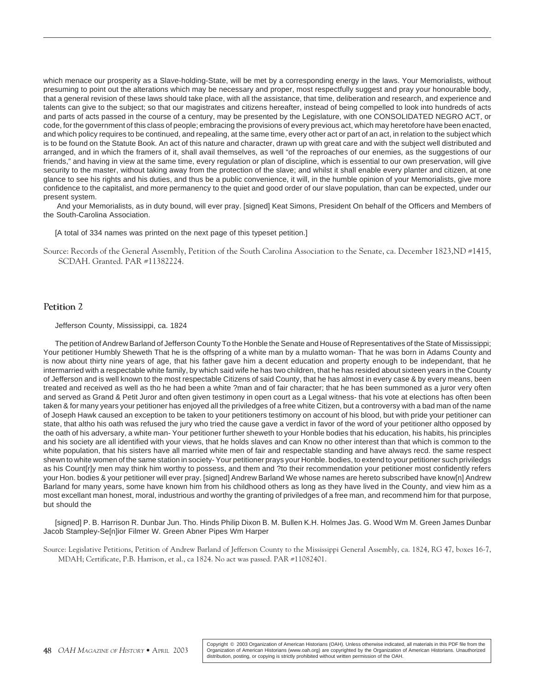which menace our prosperity as a Slave-holding-State, will be met by a corresponding energy in the laws. Your Memorialists, without presuming to point out the alterations which may be necessary and proper, most respectfully suggest and pray your honourable body, that a general revision of these laws should take place, with all the assistance, that time, deliberation and research, and experience and talents can give to the subject; so that our magistrates and citizens hereafter, instead of being compelled to look into hundreds of acts and parts of acts passed in the course of a century, may be presented by the Legislature, with one CONSOLIDATED NEGRO ACT, or code, for the government of this class of people; embracing the provisions of every previous act, which may heretofore have been enacted, and which policy requires to be continued, and repealing, at the same time, every other act or part of an act, in relation to the subject which is to be found on the Statute Book. An act of this nature and character, drawn up with great care and with the subject well distributed and arranged, and in which the framers of it, shall avail themselves, as well "of the reproaches of our enemies, as the suggestions of our friends," and having in view at the same time, every regulation or plan of discipline, which is essential to our own preservation, will give security to the master, without taking away from the protection of the slave; and whilst it shall enable every planter and citizen, at one glance to see his rights and his duties, and thus be a public convenience, it will, in the humble opinion of your Memorialists, give more confidence to the capitalist, and more permanency to the quiet and good order of our slave population, than can be expected, under our present system.

 And your Memorialists, as in duty bound, will ever pray. [signed] Keat Simons, President On behalf of the Officers and Members of the South-Carolina Association.

[A total of 334 names was printed on the next page of this typeset petition.]

Source: Records of the General Assembly, Petition of the South Carolina Association to the Senate, ca. December 1823,ND #1415, SCDAH. Granted. PAR #11382224.

#### Petition 2

Jefferson County, Mississippi, ca. 1824

The petition of Andrew Barland of Jefferson County To the Honble the Senate and House of Representatives of the State of Mississippi; Your petitioner Humbly Sheweth That he is the offspring of a white man by a mulatto woman- That he was born in Adams County and is now about thirty nine years of age, that his father gave him a decent education and property enough to be independant, that he intermarried with a respectable white family, by which said wife he has two children, that he has resided about sixteen years in the County of Jefferson and is well known to the most respectable Citizens of said County, that he has almost in every case & by every means, been treated and received as well as tho he had been a white ?man and of fair character; that he has been summoned as a juror very often and served as Grand & Petit Juror and often given testimony in open court as a Legal witness- that his vote at elections has often been taken & for many years your petitioner has enjoyed all the priviledges of a free white Citizen, but a controversy with a bad man of the name of Joseph Hawk caused an exception to be taken to your petitioners testimony on account of his blood, but with pride your petitioner can state, that altho his oath was refused the jury who tried the cause gave a verdict in favor of the word of your petitioner altho opposed by the oath of his adversary, a white man- Your petitioner further sheweth to your Honble bodies that his education, his habits, his principles and his society are all identified with your views, that he holds slaves and can Know no other interest than that which is common to the white population, that his sisters have all married white men of fair and respectable standing and have always recd. the same respect shewn to white women of the same station in society- Your petitioner prays your Honble. bodies, to extend to your petitioner such priviledgs as his Count[r]y men may think him worthy to possess, and them and ?to their recommendation your petitioner most confidently refers your Hon. bodies & your petitioner will ever pray. [signed] Andrew Barland We whose names are hereto subscribed have know[n] Andrew Barland for many years, some have known him from his childhood others as long as they have lived in the County, and view him as a most excellant man honest, moral, industrious and worthy the granting of priviledges of a free man, and recommend him for that purpose, but should the

[signed] P. B. Harrison R. Dunbar Jun. Tho. Hinds Philip Dixon B. M. Bullen K.H. Holmes Jas. G. Wood Wm M. Green James Dunbar Jacob Stampley-Se[n]ior Filmer W. Green Abner Pipes Wm Harper

Source: Legislative Petitions, Petition of Andrew Barland of Jefferson County to the Mississippi General Assembly, ca. 1824, RG 47, boxes 16-7, MDAH; Certificate, P.B. Harrison, et al., ca 1824. No act was passed. PAR #11082401.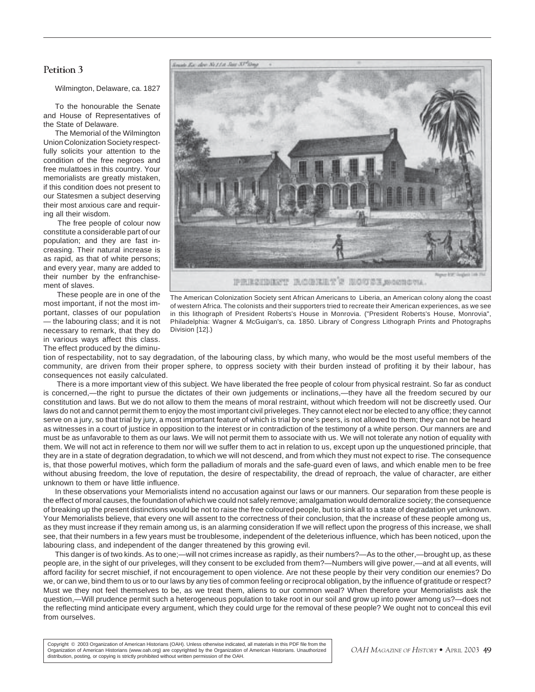#### Petition 3

Wilmington, Delaware, ca. 1827

To the honourable the Senate and House of Representatives of the State of Delaware.

The Memorial of the Wilmington Union Colonization Society respectfully solicits your attention to the condition of the free negroes and free mulattoes in this country. Your memorialists are greatly mistaken, if this condition does not present to our Statesmen a subject deserving their most anxious care and requiring all their wisdom.

 The free people of colour now constitute a considerable part of our population; and they are fast increasing. Their natural increase is as rapid, as that of white persons; and every year, many are added to their number by the enfranchisement of slaves.

 These people are in one of the most important, if not the most important, classes of our population — the labouring class; and it is not necessary to remark, that they do in various ways affect this class. The effect produced by the diminu-



The American Colonization Society sent African Americans to Liberia, an American colony along the coast of western Africa. The colonists and their supporters tried to recreate their American experiences, as we see in this lithograph of President Roberts's House in Monrovia. ("President Roberts's House, Monrovia", Philadelphia: Wagner & McGuigan's, ca. 1850. Library of Congress Lithograph Prints and Photographs Division [12].)

tion of respectability, not to say degradation, of the labouring class, by which many, who would be the most useful members of the community, are driven from their proper sphere, to oppress society with their burden instead of profiting it by their labour, has consequences not easily calculated.

 There is a more important view of this subject. We have liberated the free people of colour from physical restraint. So far as conduct is concerned,—the right to pursue the dictates of their own judgements or inclinations,—they have all the freedom secured by our constitution and laws. But we do not allow to them the means of moral restraint, without which freedom will not be discreetly used. Our laws do not and cannot permit them to enjoy the most important civil priveleges. They cannot elect nor be elected to any office; they cannot serve on a jury, so that trial by jury, a most important feature of which is trial by one's peers, is not allowed to them; they can not be heard as witnesses in a court of justice in opposition to the interest or in contradiction of the testimony of a white person. Our manners are and must be as unfavorable to them as our laws. We will not permit them to associate with us. We will not tolerate any notion of equality with them. We will not act in reference to them nor will we suffer them to act in relation to us, except upon up the unquestioned principle, that they are in a state of degration degradation, to which we will not descend, and from which they must not expect to rise. The consequence is, that those powerful motives, which form the palladium of morals and the safe-guard even of laws, and which enable men to be free without abusing freedom, the love of reputation, the desire of respectability, the dread of reproach, the value of character, are either unknown to them or have little influence.

In these observations your Memorialists intend no accusation against our laws or our manners. Our separation from these people is the effect of moral causes, the foundation of which we could not safely remove; amalgamation would demoralize society; the consequence of breaking up the present distinctions would be not to raise the free coloured people, but to sink all to a state of degradation yet unknown. Your Memorialists believe, that every one will assent to the correctness of their conclusion, that the increase of these people among us, as they must increase if they remain among us, is an alarming consideration If we will reflect upon the progress of this increase, we shall see, that their numbers in a few years must be troublesome, independent of the deleterious influence, which has been noticed, upon the labouring class, and independent of the danger threatened by this growing evil.

This danger is of two kinds. As to one;—will not crimes increase as rapidly, as their numbers?—As to the other,—brought up, as these people are, in the sight of our priveleges, will they consent to be excluded from them?—Numbers will give power,—and at all events, will afford facility for secret mischief, if not encouragement to open violence. Are not these people by their very condition our enemies? Do we, or can we, bind them to us or to our laws by any ties of common feeling or reciprocal obligation, by the influence of gratitude or respect? Must we they not feel themselves to be, as we treat them, aliens to our common weal? When therefore your Memorialists ask the question,—Will prudence permit such a heterogeneous population to take root in our soil and grow up into power among us?—does not the reflecting mind anticipate every argument, which they could urge for the removal of these people? We ought not to conceal this evil from ourselves.